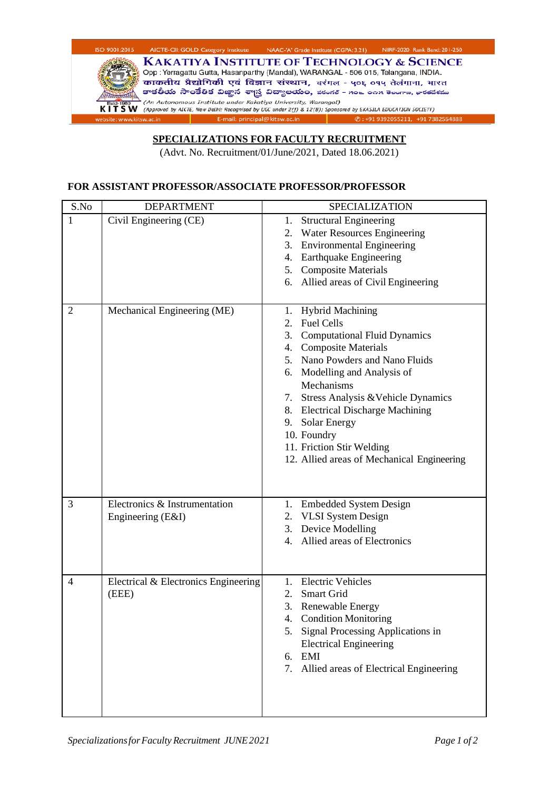

## **SPECIALIZATIONS FOR FACULTY RECRUITMENT**

(Advt. No. Recruitment/01/June/2021, Dated 18.06.2021)

## **FOR ASSISTANT PROFESSOR/ASSOCIATE PROFESSOR/PROFESSOR**

| S.No           | <b>DEPARTMENT</b>                                  | SPECIALIZATION                                                                                                                                                                                                                                                                                                                                                                                                   |
|----------------|----------------------------------------------------|------------------------------------------------------------------------------------------------------------------------------------------------------------------------------------------------------------------------------------------------------------------------------------------------------------------------------------------------------------------------------------------------------------------|
| 1              | Civil Engineering (CE)                             | <b>Structural Engineering</b><br>1.<br><b>Water Resources Engineering</b><br>2.<br><b>Environmental Engineering</b><br>3.<br>4. Earthquake Engineering<br>5. Composite Materials<br>6. Allied areas of Civil Engineering                                                                                                                                                                                         |
| $\overline{2}$ | Mechanical Engineering (ME)                        | 1. Hybrid Machining<br><b>Fuel Cells</b><br>2 <sup>1</sup><br><b>Computational Fluid Dynamics</b><br>3.<br>4. Composite Materials<br>5. Nano Powders and Nano Fluids<br>6. Modelling and Analysis of<br>Mechanisms<br>Stress Analysis & Vehicle Dynamics<br>7.<br>8. Electrical Discharge Machining<br>9. Solar Energy<br>10. Foundry<br>11. Friction Stir Welding<br>12. Allied areas of Mechanical Engineering |
| 3              | Electronics & Instrumentation<br>Engineering (E&I) | 1. Embedded System Design<br>2. VLSI System Design<br>3. Device Modelling<br>4. Allied areas of Electronics                                                                                                                                                                                                                                                                                                      |
| 4              | Electrical & Electronics Engineering<br>(EEE)      | <b>Electric Vehicles</b><br>1.<br>Smart Grid<br>2.<br>3. Renewable Energy<br>4. Condition Monitoring<br>5. Signal Processing Applications in<br><b>Electrical Engineering</b><br>6. EMI<br>7. Allied areas of Electrical Engineering                                                                                                                                                                             |